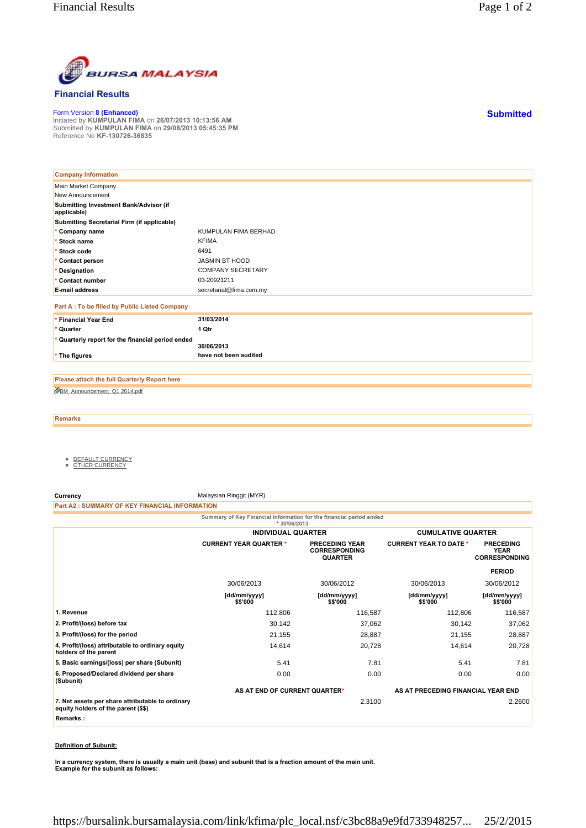

## **Financial Results**

Form Version **8 (Enhanced)** Initiated by **KUMPULAN FIMA** on **26/07/2013 10:13:56 AM** Submitted by **KUMPULAN FIMA** on **29/08/2013 05:45:35 PM** Reference No **KF-130726-36835**

| <b>Company Information</b>                            |                          |
|-------------------------------------------------------|--------------------------|
| Main Market Company                                   |                          |
| New Announcement                                      |                          |
| Submitting Investment Bank/Advisor (if<br>applicable) |                          |
| Submitting Secretarial Firm (if applicable)           |                          |
| * Company name                                        | KUMPULAN FIMA BERHAD     |
| * Stock name                                          | <b>KFIMA</b>             |
| * Stock code                                          | 6491                     |
| * Contact person                                      | <b>JASMIN BT HOOD</b>    |
| * Designation                                         | <b>COMPANY SECRETARY</b> |
| * Contact number                                      | 03-20921211              |
| <b>E-mail address</b>                                 | secretarial@fima.com.my  |
| Part A : To be filled by Public Listed Company        |                          |
| * Financial Year End                                  | 31/03/2014               |
| * Quarter                                             | 1 Qtr                    |
| * Quarterly report for the financial period ended     | 30/06/2013               |
| * The figures                                         | have not been audited    |

BM\_Announcement\_Q1 2014.pdf **Please attach the full Quarterly Report here**

**Remarks**

- <u>DEFAULT CURRENCY</u><br>● <u>OTHER CURRENCY</u>
- 

**Currency** Malaysian Ringgit (MYR)

**Part A2 : SUMMARY OF KEY FINANCIAL INFORMATION**

**Summary of Key Financial Information for the financial period ended**

|                                                                                         | * $30/06/2013$                |                                                                 |                                    |                                                         |
|-----------------------------------------------------------------------------------------|-------------------------------|-----------------------------------------------------------------|------------------------------------|---------------------------------------------------------|
|                                                                                         | <b>INDIVIDUAL QUARTER</b>     |                                                                 | <b>CUMULATIVE QUARTER</b>          |                                                         |
|                                                                                         | <b>CURRENT YEAR QUARTER *</b> | <b>PRECEDING YEAR</b><br><b>CORRESPONDING</b><br><b>QUARTER</b> | <b>CURRENT YEAR TO DATE *</b>      | <b>PRECEDING</b><br><b>YEAR</b><br><b>CORRESPONDING</b> |
|                                                                                         |                               |                                                                 |                                    | <b>PERIOD</b>                                           |
|                                                                                         | 30/06/2013                    | 30/06/2012                                                      | 30/06/2013                         | 30/06/2012                                              |
|                                                                                         | [dd/mm/yyyy]<br>\$\$'000      | [dd/mm/yyyy]<br>\$\$'000                                        | [dd/mm/yyyy]<br>\$\$'000           | [dd/mm/yyyy]<br>\$\$'000                                |
| 1. Revenue                                                                              | 112,806                       | 116,587                                                         | 112,806                            | 116,587                                                 |
| 2. Profit/(loss) before tax                                                             | 30,142                        | 37,062                                                          | 30,142                             | 37,062                                                  |
| 3. Profit/(loss) for the period                                                         | 21,155                        | 28,887                                                          | 21,155                             | 28,887                                                  |
| 4. Profit/(loss) attributable to ordinary equity<br>holders of the parent               | 14,614                        | 20,728                                                          | 14,614                             | 20,728                                                  |
| 5. Basic earnings/(loss) per share (Subunit)                                            | 5.41                          | 7.81                                                            | 5.41                               | 7.81                                                    |
| 6. Proposed/Declared dividend per share<br>(Subunit)                                    | 0.00                          | 0.00                                                            | 0.00                               | 0.00                                                    |
|                                                                                         | AS AT END OF CURRENT QUARTER* |                                                                 | AS AT PRECEDING FINANCIAL YEAR END |                                                         |
| 7. Net assets per share attributable to ordinary<br>equity holders of the parent (\$\$) |                               | 2.3100                                                          |                                    | 2.2600                                                  |
| Remarks:                                                                                |                               |                                                                 |                                    |                                                         |

## **Definition of Subunit:**

**In a currency system, there is usually a main unit (base) and subunit that is a fraction amount of the main unit. Example for the subunit as follows:**

**Submitted**